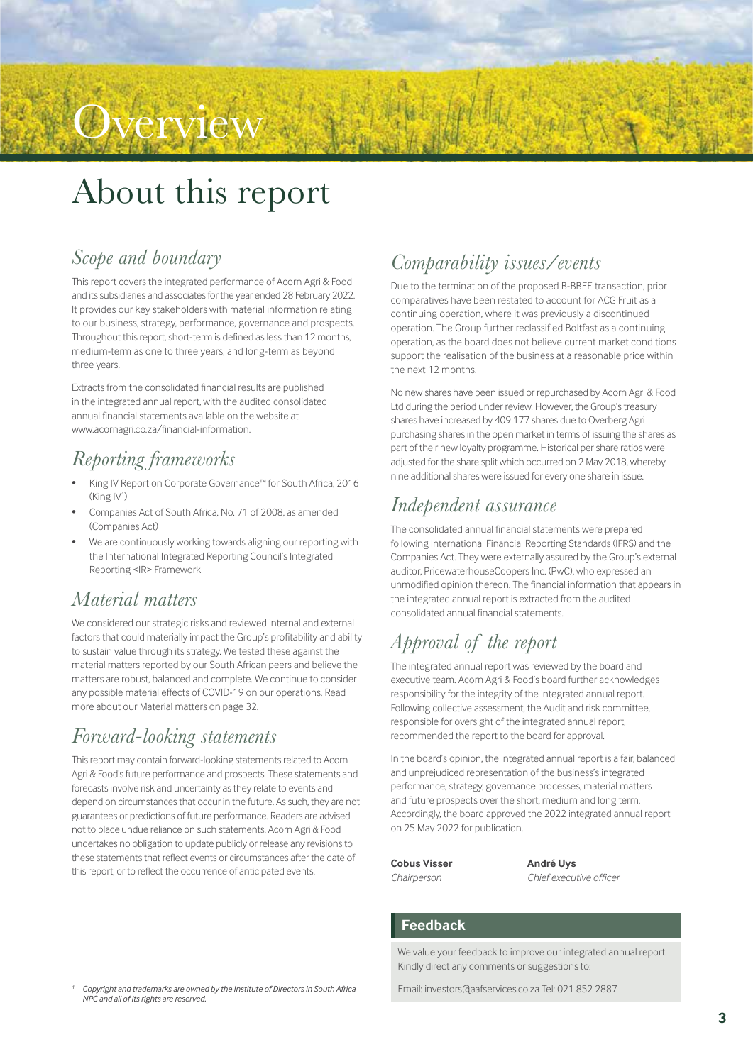## About this report

**Overview** 

### *Scope and boundary*

This report covers the integrated performance of Acorn Agri & Food and its subsidiaries and associates for the year ended 28 February 2022. It provides our key stakeholders with material information relating to our business, strategy, performance, governance and prospects. Throughout this report, short-term is defined as less than 12 months, medium-term as one to three years, and long-term as beyond three years.

Extracts from the consolidated financial results are published in the integrated annual report, with the audited consolidated annual financial statements available on the website at www.acornagri.co.za/financial-information.

## *Reporting frameworks*

- King IV Report on Corporate Governance™ for South Africa, 2016 (King IV<sup>1</sup>)
- Companies Act of South Africa, No. 71 of 2008, as amended (Companies Act)
- We are continuously working towards aligning our reporting with the International Integrated Reporting Council's Integrated Reporting <IR> Framework

### *Material matters*

We considered our strategic risks and reviewed internal and external factors that could materially impact the Group's profitability and ability to sustain value through its strategy. We tested these against the material matters reported by our South African peers and believe the matters are robust, balanced and complete. We continue to consider any possible material effects of COVID-19 on our operations. Read more about our Material matters on page 32.

## *Forward-looking statements*

This report may contain forward-looking statements related to Acorn Agri & Food's future performance and prospects. These statements and forecasts involve risk and uncertainty as they relate to events and depend on circumstances that occur in the future. As such, they are not guarantees or predictions of future performance. Readers are advised not to place undue reliance on such statements. Acorn Agri & Food undertakes no obligation to update publicly or release any revisions to these statements that reflect events or circumstances after the date of this report, or to reflect the occurrence of anticipated events.

## *Comparability issues/events*

Due to the termination of the proposed B-BBEE transaction, prior comparatives have been restated to account for ACG Fruit as a continuing operation, where it was previously a discontinued operation. The Group further reclassified Boltfast as a continuing operation, as the board does not believe current market conditions support the realisation of the business at a reasonable price within the next 12 months.

No new shares have been issued or repurchased by Acorn Agri & Food Ltd during the period under review. However, the Group's treasury shares have increased by 409 177 shares due to Overberg Agri purchasing shares in the open market in terms of issuing the shares as part of their new loyalty programme. Historical per share ratios were adjusted for the share split which occurred on 2 May 2018, whereby nine additional shares were issued for every one share in issue.

### *Independent assurance*

The consolidated annual financial statements were prepared following International Financial Reporting Standards (IFRS) and the Companies Act. They were externally assured by the Group's external auditor, PricewaterhouseCoopers Inc. (PwC), who expressed an unmodified opinion thereon. The financial information that appears in the integrated annual report is extracted from the audited consolidated annual financial statements.

## *Approval of the report*

The integrated annual report was reviewed by the board and executive team. Acorn Agri & Food's board further acknowledges responsibility for the integrity of the integrated annual report. Following collective assessment, the Audit and risk committee, responsible for oversight of the integrated annual report, recommended the report to the board for approval.

In the board's opinion, the integrated annual report is a fair, balanced and unprejudiced representation of the business's integrated performance, strategy, governance processes, material matters and future prospects over the short, medium and long term. Accordingly, the board approved the 2022 integrated annual report on 25 May 2022 for publication.

## **Cobus Visser André Uys**

*Chairperson Chief executive officer*

#### **Feedback**

We value your feedback to improve our integrated annual report. Kindly direct any comments or suggestions to:

Email: investors@aafservices.co.za Tel: 021 852 2887

*<sup>1</sup> Copyright and trademarks are owned by the Institute of Directors in South Africa NPC and all of its rights are reserved.*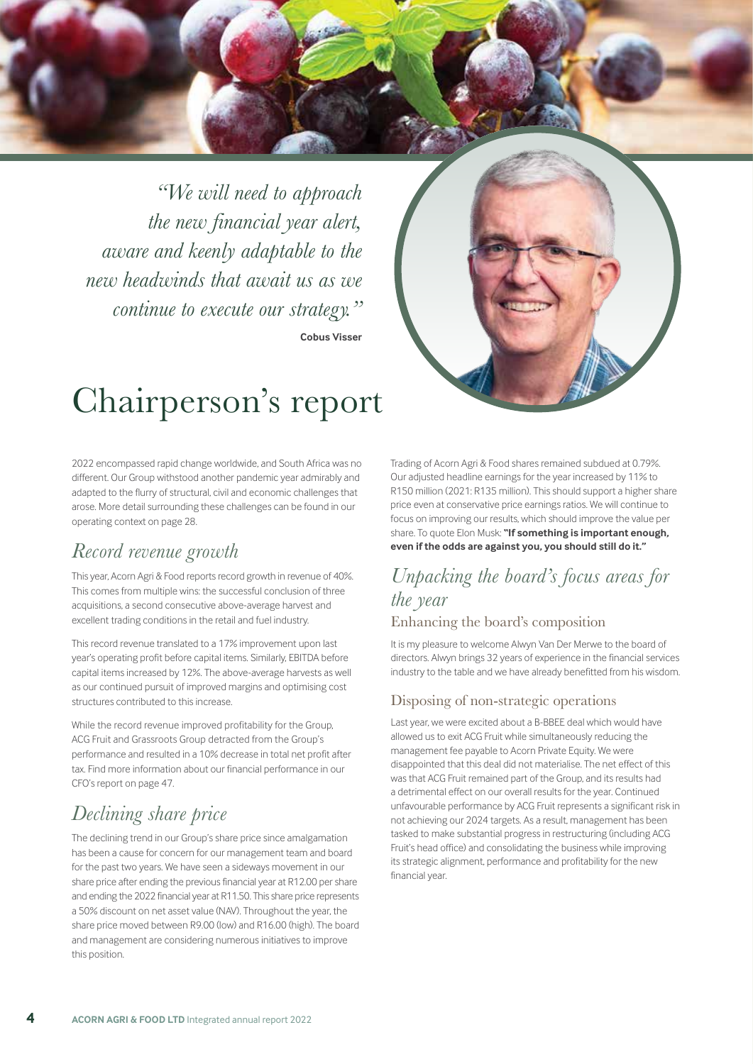*"We will need to approach the new financial year alert, aware and keenly adaptable to the new headwinds that await us as we continue to execute our strategy."* **Cobus Visser**



## Chairperson's report

2022 encompassed rapid change worldwide, and South Africa was no different. Our Group withstood another pandemic year admirably and adapted to the flurry of structural, civil and economic challenges that arose. More detail surrounding these challenges can be found in our operating context on page 28.

### *Record revenue growth*

This year, Acorn Agri & Food reports record growth in revenue of 40%. This comes from multiple wins: the successful conclusion of three acquisitions, a second consecutive above-average harvest and excellent trading conditions in the retail and fuel industry.

This record revenue translated to a 17% improvement upon last year's operating profit before capital items. Similarly, EBITDA before capital items increased by 12%. The above-average harvests as well as our continued pursuit of improved margins and optimising cost structures contributed to this increase.

While the record revenue improved profitability for the Group, ACG Fruit and Grassroots Group detracted from the Group's performance and resulted in a 10% decrease in total net profit after tax. Find more information about our financial performance in our CFO's report on page 47.

## *Declining share price*

The declining trend in our Group's share price since amalgamation has been a cause for concern for our management team and board for the past two years. We have seen a sideways movement in our share price after ending the previous financial year at R12.00 per share and ending the 2022 financial year at R11.50. This share price represents a 50% discount on net asset value (NAV). Throughout the year, the share price moved between R9.00 (low) and R16.00 (high). The board and management are considering numerous initiatives to improve this position.

Trading of Acorn Agri & Food shares remained subdued at 0.79%. Our adjusted headline earnings for the year increased by 11% to R150 million (2021: R135 million). This should support a higher share price even at conservative price earnings ratios. We will continue to focus on improving our results, which should improve the value per share. To quote Elon Musk: **"If something is important enough, even if the odds are against you, you should still do it."**

#### *Unpacking the board's focus areas for the year* Enhancing the board's composition

It is my pleasure to welcome Alwyn Van Der Merwe to the board of directors. Alwyn brings 32 years of experience in the financial services industry to the table and we have already benefitted from his wisdom.

#### Disposing of non-strategic operations

Last year, we were excited about a B-BBEE deal which would have allowed us to exit ACG Fruit while simultaneously reducing the management fee payable to Acorn Private Equity. We were disappointed that this deal did not materialise. The net effect of this was that ACG Fruit remained part of the Group, and its results had a detrimental effect on our overall results for the year. Continued unfavourable performance by ACG Fruit represents a significant risk in not achieving our 2024 targets. As a result, management has been tasked to make substantial progress in restructuring (including ACG Fruit's head office) and consolidating the business while improving its strategic alignment, performance and profitability for the new financial year.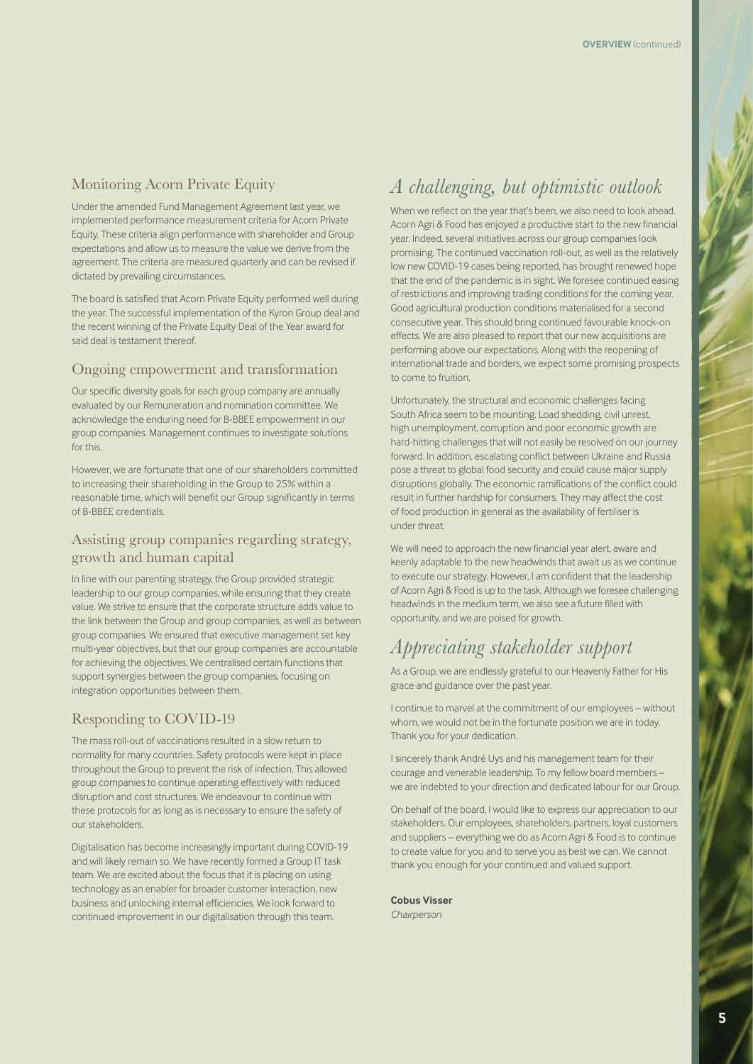#### Monitoring Acorn Private Equity

Under the amended Fund Management Agreement last year, we implemented performance measurement criteria for Acorn Private Equity. These criteria align performance with shareholder and Group expectations and allow us to measure the value we derive from the agreement. The criteria are measured quarterly and can be revised if dictated by prevailing circumstances.

The board is satisfied that Acorn Private Equity performed well during the year. The successful implementation of the Kyron Group deal and the recent winning of the Private Equity Deal of the Year award for said deal is testament thereof.

#### Ongoing empowerment and transformation

Our specific diversity goals for each group company are annually evaluated by our Remuneration and nomination committee. We acknowledge the enduring need for B-BBEE empowerment in our group companies. Management continues to investigate solutions for this.

However, we are fortunate that one of our shareholders committed to increasing their shareholding in the Group to 25% within a reasonable time, which will benefit our Group significantly in terms of B-BBEE credentials.

#### Assisting group companies regarding strategy, growth and human capital

In line with our parenting strategy, the Group provided strategic leadership to our group companies, while ensuring that they create value. We strive to ensure that the corporate structure adds value to the link between the Group and group companies, as well as between group companies. We ensured that executive management set key multi-year objectives, but that our group companies are accountable for achieving the objectives. We centralised certain functions that support synergies between the group companies, focusing on integration opportunities between them.

#### Responding to COVID-19

The mass roll-out of vaccinations resulted in a slow return to normality for many countries. Safety protocols were kept in place throughout the Group to prevent the risk of infection. This allowed group companies to continue operating effectively with reduced disruption and cost structures. We endeavour to continue with these protocols for as long as is necessary to ensure the safety of our stakeholders.

Digitalisation has become increasingly important during COVID-19 and will likely remain so. We have recently formed a Group IT task team. We are excited about the focus that it is placing on using technology as an enabler for broader customer interaction, new business and unlocking internal efficiencies. We look forward to continued improvement in our digitalisation through this team.

## *A challenging, but optimistic outlook*

When we reflect on the year that's been, we also need to look ahead. Acorn Agri & Food has enjoyed a productive start to the new financial year. Indeed, several initiatives across our group companies look promising. The continued vaccination roll-out, as well as the relatively low new COVID-19 cases being reported, has brought renewed hope that the end of the pandemic is in sight. We foresee continued easing of restrictions and improving trading conditions for the coming year. Good agricultural production conditions materialised for a second consecutive year. This should bring continued favourable knock-on effects. We are also pleased to report that our new acquisitions are performing above our expectations. Along with the reopening of international trade and borders, we expect some promising prospects to come to fruition.

Unfortunately, the structural and economic challenges facing South Africa seem to be mounting. Load shedding, civil unrest, high unemployment, corruption and poor economic growth are hard-hitting challenges that will not easily be resolved on our journey forward. In addition, escalating conflict between Ukraine and Russia pose a threat to global food security and could cause major supply disruptions globally. The economic ramifications of the conflict could result in further hardship for consumers. They may affect the cost of food production in general as the availability of fertiliser is under threat.

We will need to approach the new financial year alert, aware and keenly adaptable to the new headwinds that await us as we continue to execute our strategy. However, I am confident that the leadership of Acorn Agri & Food is up to the task. Although we foresee challenging headwinds in the medium term, we also see a future filled with opportunity, and we are poised for growth.

## *Appreciating stakeholder support*

As a Group, we are endlessly grateful to our Heavenly Father for His grace and guidance over the past year.

I continue to marvel at the commitment of our employees – without whom, we would not be in the fortunate position we are in today. Thank you for your dedication.

I sincerely thank André Uys and his management team for their courage and venerable leadership. To my fellow board members – we are indebted to your direction and dedicated labour for our Group.

On behalf of the board, I would like to express our appreciation to our stakeholders. Our employees, shareholders, partners, loyal customers and suppliers – everything we do as Acorn Agri & Food is to continue to create value for you and to serve you as best we can. We cannot thank you enough for your continued and valued support.

#### **Cobus Visser**

*Chairperson*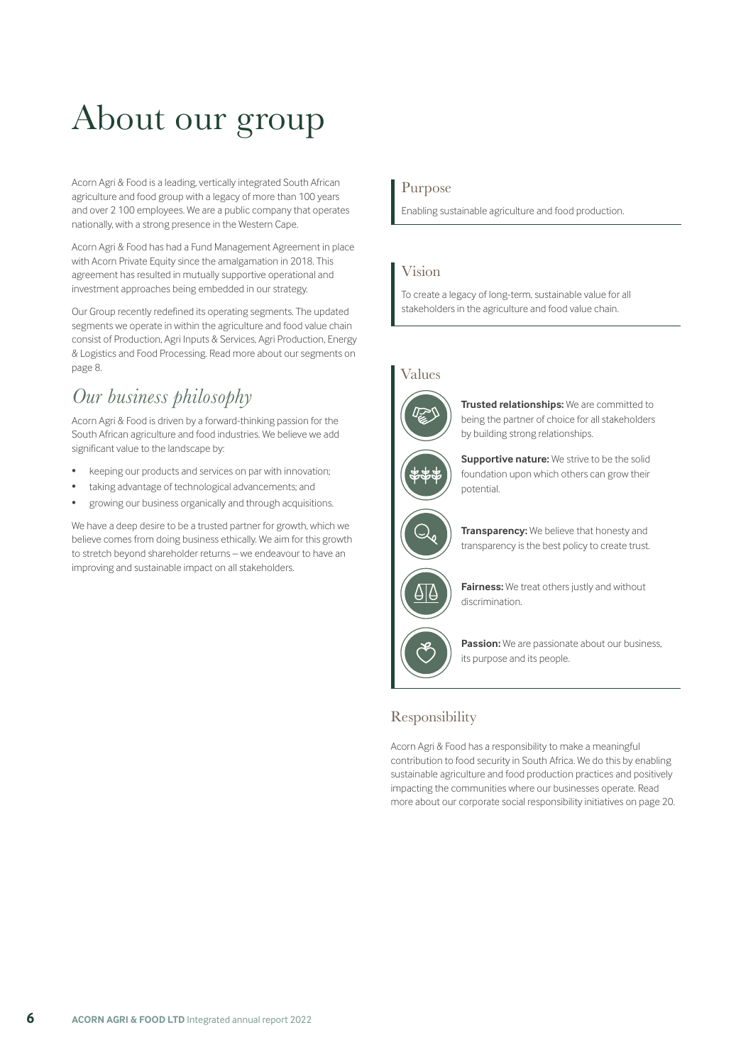# About our group

Acorn Agri & Food is a leading, vertically integrated South African agriculture and food group with a legacy of more than 100 years and over 2 100 employees. We are a public company that operates nationally, with a strong presence in the Western Cape.

Acorn Agri & Food has had a Fund Management Agreement in place with Acorn Private Equity since the amalgamation in 2018. This agreement has resulted in mutually supportive operational and investment approaches being embedded in our strategy.

Our Group recently redefined its operating segments. The updated segments we operate in within the agriculture and food value chain consist of Production, Agri Inputs & Services, Agri Production, Energy & Logistics and Food Processing. Read more about our segments on page 8.

## *Our business philosophy*

Acorn Agri & Food is driven by a forward-thinking passion for the South African agriculture and food industries. We believe we add significant value to the landscape by:

- keeping our products and services on par with innovation;
- taking advantage of technological advancements; and
- growing our business organically and through acquisitions.

We have a deep desire to be a trusted partner for growth, which we believe comes from doing business ethically. We aim for this growth to stretch beyond shareholder returns – we endeavour to have an improving and sustainable impact on all stakeholders.

#### Purpose

Enabling sustainable agriculture and food production.

#### Vision

To create a legacy of long-term, sustainable value for all stakeholders in the agriculture and food value chain.

#### Values



**Trusted relationships:** We are committed to being the partner of choice for all stakeholders by building strong relationships.



**Supportive nature:** We strive to be the solid foundation upon which others can grow their potential.



**Transparency:** We believe that honesty and transparency is the best policy to create trust.



**Fairness:** We treat others justly and without discrimination.



**Passion:** We are passionate about our business, its purpose and its people.

#### Responsibility

Acorn Agri & Food has a responsibility to make a meaningful contribution to food security in South Africa. We do this by enabling sustainable agriculture and food production practices and positively impacting the communities where our businesses operate. Read more about our corporate social responsibility initiatives on page 20.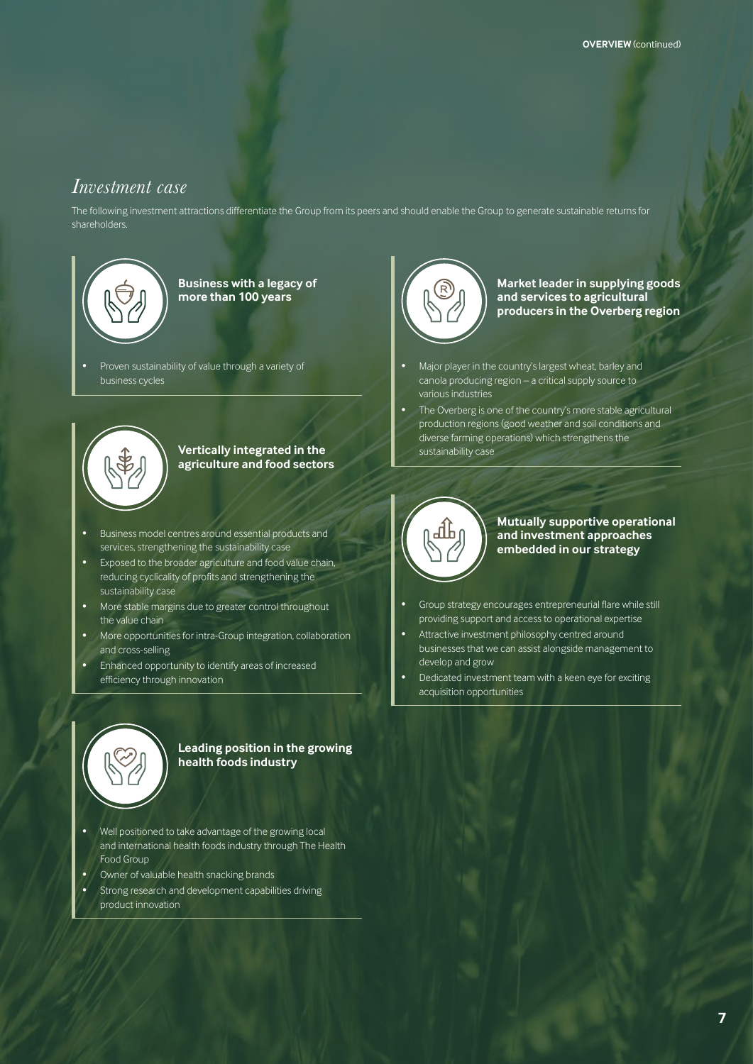#### *Investment case*

The following investment attractions differentiate the Group from its peers and should enable the Group to generate sustainable returns for shareholders.



**Business with a legacy of more than 100 years**

• Proven sustainability of value through a variety of business cycles



#### **Vertically integrated in the agriculture and food sectors**

- Business model centres around essential products and services, strengthening the sustainability case
- Exposed to the broader agriculture and food value chain, reducing cyclicality of profits and strengthening the sustainability case
- More stable margins due to greater control throughout the value chain
- More opportunities for intra-Group integration, collaboration and cross-selling
- Enhanced opportunity to identify areas of increased efficiency through innovation

**Market leader in supplying goods and services to agricultural producers in the Overberg region**

- Major player in the country's largest wheat, barley and canola producing region – a critical supply source to various industries
- The Overberg is one of the country's more stable agricultural production regions (good weather and soil conditions and diverse farming operations) which strengthens the sustainability case



**Mutually supportive operational and investment approaches embedded in our strategy**

- Group strategy encourages entrepreneurial flare while still providing support and access to operational expertise
- Attractive investment philosophy centred around businesses that we can assist alongside management to develop and grow
- Dedicated investment team with a keen eye for exciting acquisition opportunities



#### **Leading position in the growing health foods industry**

- Well positioned to take advantage of the growing local and international health foods industry through The Health Food Group
- Owner of valuable health snacking brands
- Strong research and development capabilities driving product innovation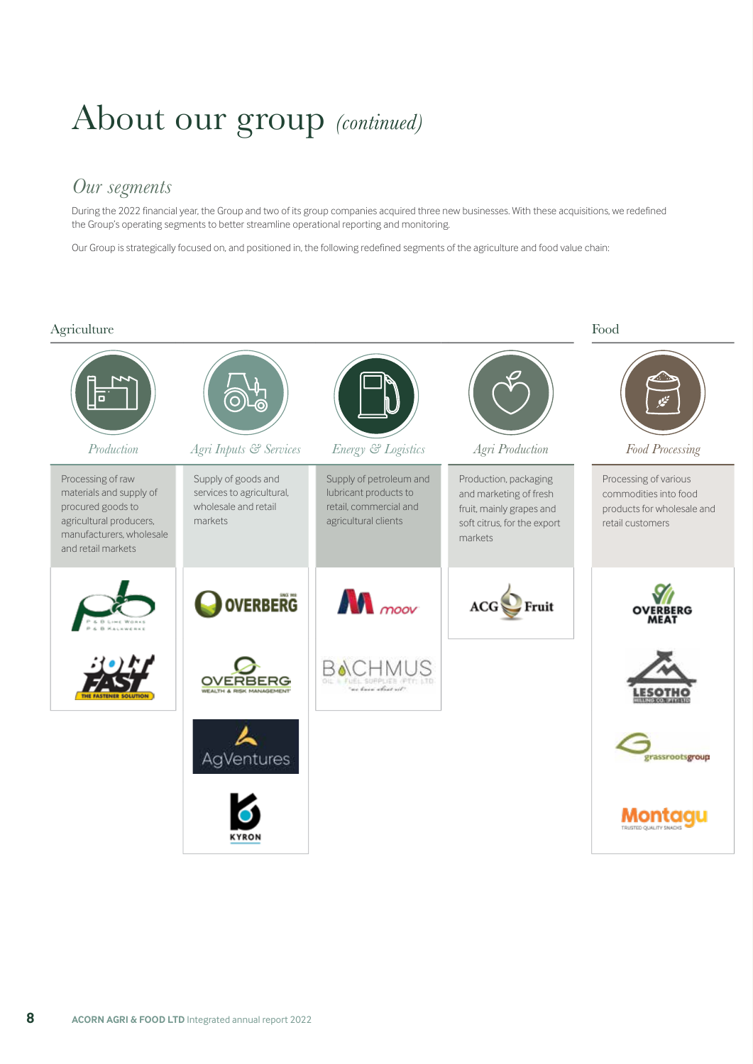## About our group *(continued)*

#### *Our segments*

During the 2022 financial year, the Group and two of its group companies acquired three new businesses. With these acquisitions, we redefined the Group's operating segments to better streamline operational reporting and monitoring.

Our Group is strategically focused on, and positioned in, the following redefined segments of the agriculture and food value chain:

#### Agriculture Food *Production Agri Inputs & Services Energy & Logistics Agri Production Food Processing* Processing of raw Supply of goods and Supply of petroleum and Production, packaging Processing of various materials and supply of services to agricultural, lubricant products to and marketing of fresh commodities into food procured goods to wholesale and retail retail, commercial and products for wholesale and fruit, mainly grapes and agricultural producers, markets agricultural clients soft citrus, for the export retail customers manufacturers, wholesale markets and retail markets  $\mathbf{M}$  moov **OVERBERG**  $ACG$  Fruit **BACHMUS OVERBERG rassrootsgroup AgVentures** Montaqu